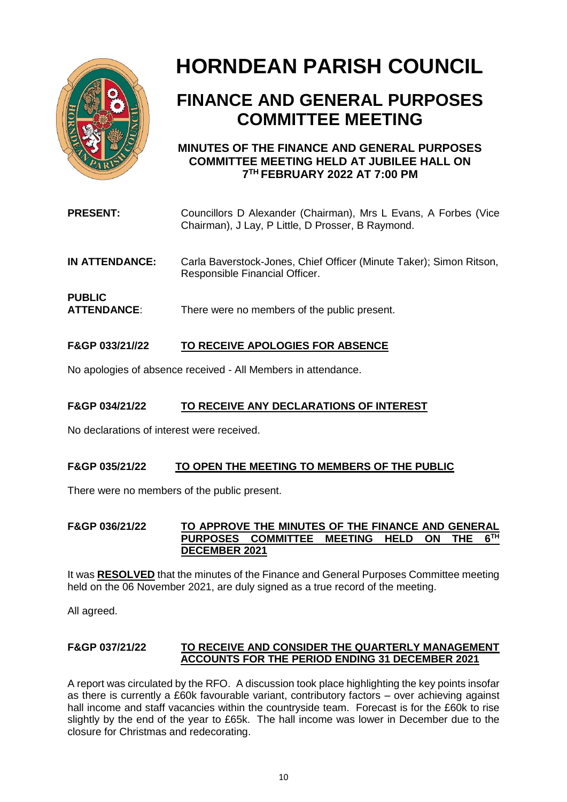

# **HORNDEAN PARISH COUNCIL**

## **FINANCE AND GENERAL PURPOSES COMMITTEE MEETING**

### **MINUTES OF THE FINANCE AND GENERAL PURPOSES COMMITTEE MEETING HELD AT JUBILEE HALL ON 7 TH FEBRUARY 2022 AT 7:00 PM**

| <b>PRESENT:</b>                     | Councillors D Alexander (Chairman), Mrs L Evans, A Forbes (Vice<br>Chairman), J Lay, P Little, D Prosser, B Raymond. |
|-------------------------------------|----------------------------------------------------------------------------------------------------------------------|
| IN ATTENDANCE:                      | Carla Baverstock-Jones, Chief Officer (Minute Taker); Simon Ritson,<br>Responsible Financial Officer.                |
| <b>PUBLIC</b><br><b>ATTENDANCE:</b> | There were no members of the public present.                                                                         |

### **F&GP 033/21//22 TO RECEIVE APOLOGIES FOR ABSENCE**

No apologies of absence received - All Members in attendance.

#### **F&GP 034/21/22 TO RECEIVE ANY DECLARATIONS OF INTEREST**

No declarations of interest were received.

#### **F&GP 035/21/22 TO OPEN THE MEETING TO MEMBERS OF THE PUBLIC**

There were no members of the public present.

#### **F&GP 036/21/22 TO APPROVE THE MINUTES OF THE FINANCE AND GENERAL PURPOSES COMMITTEE MEETING HELD ON THE 6**  $6$ <sup>TH</sup> **DECEMBER 2021**

It was **RESOLVED** that the minutes of the Finance and General Purposes Committee meeting held on the 06 November 2021, are duly signed as a true record of the meeting.

All agreed.

#### **F&GP 037/21/22 TO RECEIVE AND CONSIDER THE QUARTERLY MANAGEMENT ACCOUNTS FOR THE PERIOD ENDING 31 DECEMBER 2021**

A report was circulated by the RFO. A discussion took place highlighting the key points insofar as there is currently a £60k favourable variant, contributory factors – over achieving against hall income and staff vacancies within the countryside team. Forecast is for the £60k to rise slightly by the end of the year to £65k. The hall income was lower in December due to the closure for Christmas and redecorating.